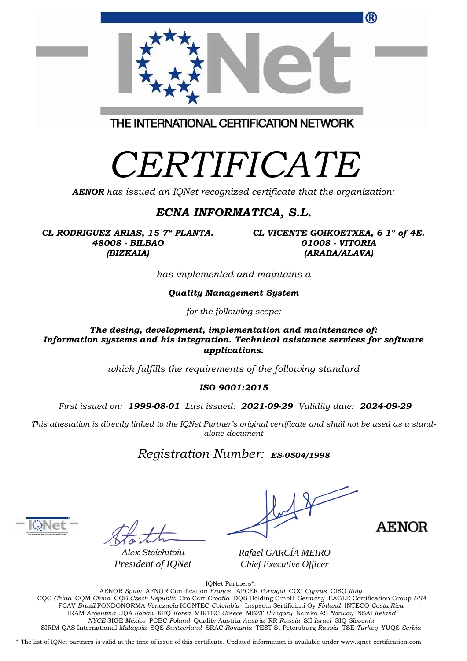| ®                                       |
|-----------------------------------------|
| THE INTERNATIONAL CERTIFICATION NETWORK |
|                                         |

*AENOR has issued an IQNet recognized certificate that the organization:*

#### *ECNA INFORMATICA, S.L.*

*CL RODRIGUEZ ARIAS, 15 7ª PLANTA. 48008 - BILBAO (BIZKAIA)*

*CL VICENTE GOIKOETXEA, 6 1º of 4E. 01008 - VITORIA (ARABA/ALAVA)*

*has implemented and maintains a*

*Quality Management System*

*for the following scope:* 

*The desing, development, implementation and maintenance of: Information systems and his integration. Technical asistance services for software applications.* 

*which fulfills the requirements of the following standard*

*ISO 9001:2015*

*First issued on: 1999-08-01 Last issued: 2021-09-29 Validity date: 2024-09-29*

This attestation is directly linked to the IQNet Partner's original certificate and shall not be used as a stand*alone document*

*Registration Number: ES-0504/1998*



*Alex Stoichitoiu President of IQNet*

 $\diagup$ 

**AENOR** 

*Rafael GARCÍA MEIRO Chief Executive Officer*

IQNet Partners\*:

AENOR *Spain* AFNOR Certification *France* APCER *Portugal* CCC *Cyprus* CISQ *Italy* CQC *China* CQM *China* CQS *Czech Republic* Cro Cert *Croatia* DQS Holding GmbH *Germany* EAGLE Certification Group *USA* FCAV *Brazil* FONDONORMA *Venezuela* ICONTEC *Colombia* Inspecta Sertifiointi Oy *Finland* INTECO *Costa Rica* IRAM *Argentina* JQA *Japan* KFQ *Korea* MIRTEC *Greece* MSZT *Hungary* Nemko AS *Norway* NSAI *Ireland NYCE-*SIGE *México* PCBC *Poland* Quality Austria *Austria* RR *Russia* SII *Israel* SIQ *Slovenia*  SIRIM QAS International *Malaysia* SQS *Switzerland* SRAC *Romania* TEST St Petersburg *Russia* TSE *Turkey* YUQS *Serbia*

\* The list of IQNet partners is valid at the time of issue of this certificate. Updated information is available under www.iqnet-certification.com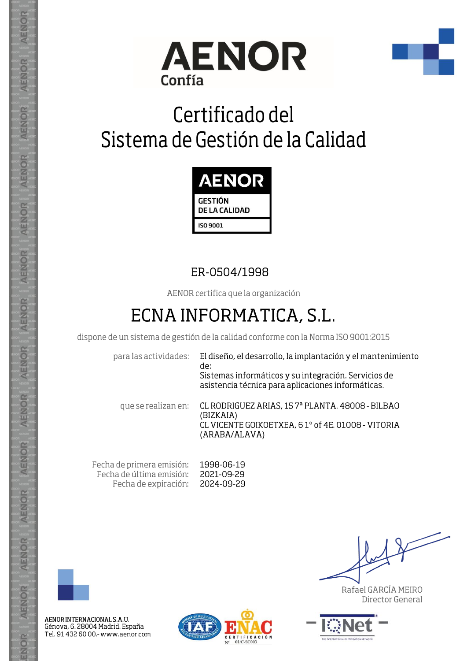



# Certificado del Sistema de Gestión de la Calidad



### ER-0504/1998

AENOR certifica que la organización

## ECNA INFORMATICA, S.L.

dispone de un sistema de gestión de la calidad conforme con la Norma ISO 9001:2015

para las actividades:

El diseño, el desarrollo, la implantación y el mantenimiento de: Sistemas informáticos y su integración. Servicios de asistencia técnica para aplicaciones informáticas.

que se realizan en:

CL RODRIGUEZ ARIAS, 157ª PLANTA. 48008 - BILBAO (BIZKAIA) CL VICENTE GOIKOETXEA, 61° of 4E. 01008 - VITORIA (ARABA/ALAVA)

Fecha de primera emisión: 1998-06-19 Fecha de última emisión: 2021-09-29 Fecha de expiración: 2024-09-29



**AENOR** 

AENOR

AENOR

**AENOR** 

AENOR

AENOR

**AENOR** 

**AENOR** 

AENOR

AENOR

**AENOR** 

AENOR

AENOR

ENOR

AENOR INTERNACIONAL S.A.U. Génova, 6. 28004 Madrid. España Tel. 91 432 60 00.- www.aenor.com



Rafael GARCÍA MEIRO Director General

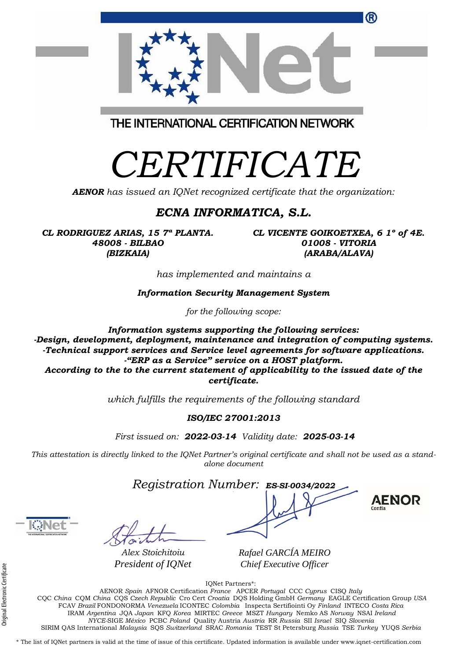| President of IQNet                                                                                                                                 | Chief Executive Officer                                                                                        |
|----------------------------------------------------------------------------------------------------------------------------------------------------|----------------------------------------------------------------------------------------------------------------|
|                                                                                                                                                    | <b>IONet Partners*:</b>                                                                                        |
|                                                                                                                                                    | AENOR Spain AFNOR Certification France APCER Portugal CCC Cyprus CISO Italy                                    |
|                                                                                                                                                    | CQC China CQM China CQS Czech Republic Cro Cert Croatia DQS Holding GmbH Germany EAGLE Certification Group USA |
|                                                                                                                                                    | FCAV Brazil FONDONORMA Venezuela ICONTEC Colombia Inspecta Sertifiointi Oy Finland INTECO Costa Rica           |
|                                                                                                                                                    | IRAM Argentina JQA Japan KFQ Korea MIRTEC Greece MSZT Hungary Nemko AS Norway NSAI Ireland                     |
|                                                                                                                                                    | NYCE-SIGE México PCBC Poland Quality Austria Austria RR Russia SII Israel SIQ Slovenia                         |
|                                                                                                                                                    | SIRIM QAS International Malaysia SQS Switzerland SRAC Romania TEST St Petersburg Russia TSE Turkey YUQS Serbia |
|                                                                                                                                                    |                                                                                                                |
| * The list of IQNet partners is valid at the time of issue of this certificate. Updated information is available under www.iqnet-certification.com |                                                                                                                |
|                                                                                                                                                    |                                                                                                                |
|                                                                                                                                                    |                                                                                                                |

#### *AENOR has issued an IQNet recognized certificate that the organization: ECNA INFORMATICA, S.L.*

*CERTIFICATE*

THE INTERNATIONAL CERTIFICATION NETWORK

*CL RODRIGUEZ ARIAS, 15 7ª PLANTA. 48008 - BILBAO (BIZKAIA)*

*CL VICENTE GOIKOETXEA, 6 1º of 4E. 01008 - VITORIA (ARABA/ALAVA)*

®

*has implemented and maintains a*

*Information Security Management System* 

*for the following scope:* 

*Information systems supporting the following services: -Design, development, deployment, maintenance and integration of computing systems. -Technical support services and Service level agreements for software applications. -"ERP as a Service" service on a HOST platform. According to the to the current statement of applicability to the issued date of the certificate.*

*which fulfills the requirements of the following standard*

#### *ISO/IEC 27001:2013*

*First issued on: 2022-03-14 Validity date: 2025-03-14*

This attestation is directly linked to the IQNet Partner's original certificate and shall not be used as a stand*alone document*

*Registration Number: ES-SI-0034/2022* **a**

*Alex Stoichitoiu*

*Rafael GARCÍA MEIRO*

**AENOR** 



Original Electronic Certificate

Original Electronic Certificate